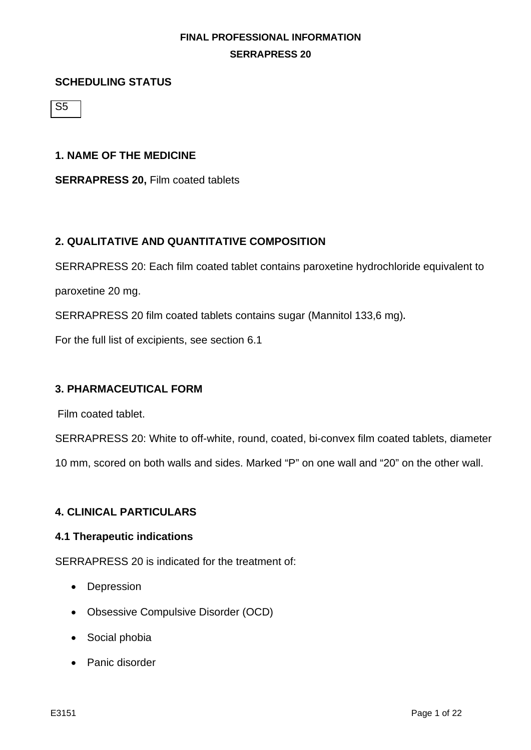#### **SCHEDULING STATUS**

S5

#### **1. NAME OF THE MEDICINE**

**SERRAPRESS 20,** Film coated tablets

## **2. QUALITATIVE AND QUANTITATIVE COMPOSITION**

SERRAPRESS 20: Each film coated tablet contains paroxetine hydrochloride equivalent to paroxetine 20 mg.

SERRAPRESS 20 film coated tablets contains sugar (Mannitol 133,6 mg)**.**

For the full list of excipients, see section 6.1

#### **3. PHARMACEUTICAL FORM**

Film coated tablet.

SERRAPRESS 20: White to off-white, round, coated, bi-convex film coated tablets, diameter

10 mm, scored on both walls and sides. Marked "P" on one wall and "20" on the other wall.

#### **4. CLINICAL PARTICULARS**

#### **4.1 Therapeutic indications**

SERRAPRESS 20 is indicated for the treatment of:

- Depression
- Obsessive Compulsive Disorder (OCD)
- Social phobia
- Panic disorder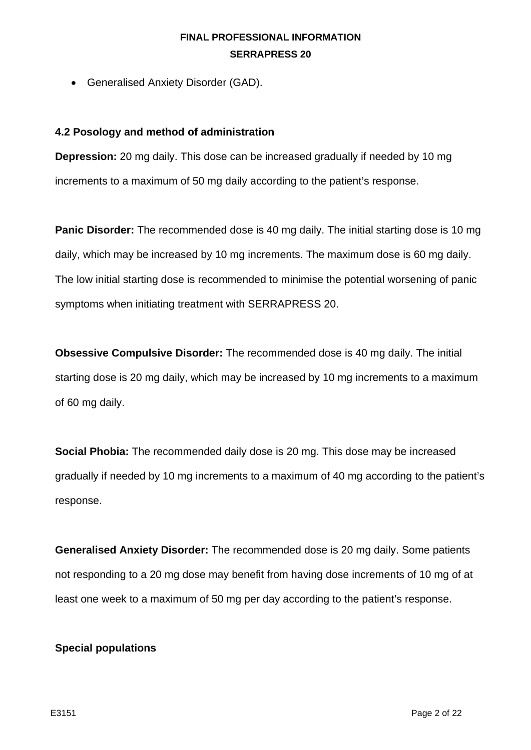• Generalised Anxiety Disorder (GAD).

#### **4.2 Posology and method of administration**

**Depression:** 20 mg daily. This dose can be increased gradually if needed by 10 mg increments to a maximum of 50 mg daily according to the patient's response.

**Panic Disorder:** The recommended dose is 40 mg daily. The initial starting dose is 10 mg daily, which may be increased by 10 mg increments. The maximum dose is 60 mg daily. The low initial starting dose is recommended to minimise the potential worsening of panic symptoms when initiating treatment with SERRAPRESS 20.

**Obsessive Compulsive Disorder:** The recommended dose is 40 mg daily. The initial starting dose is 20 mg daily, which may be increased by 10 mg increments to a maximum of 60 mg daily.

**Social Phobia:** The recommended daily dose is 20 mg. This dose may be increased gradually if needed by 10 mg increments to a maximum of 40 mg according to the patient's response.

**Generalised Anxiety Disorder:** The recommended dose is 20 mg daily. Some patients not responding to a 20 mg dose may benefit from having dose increments of 10 mg of at least one week to a maximum of 50 mg per day according to the patient's response.

#### **Special populations**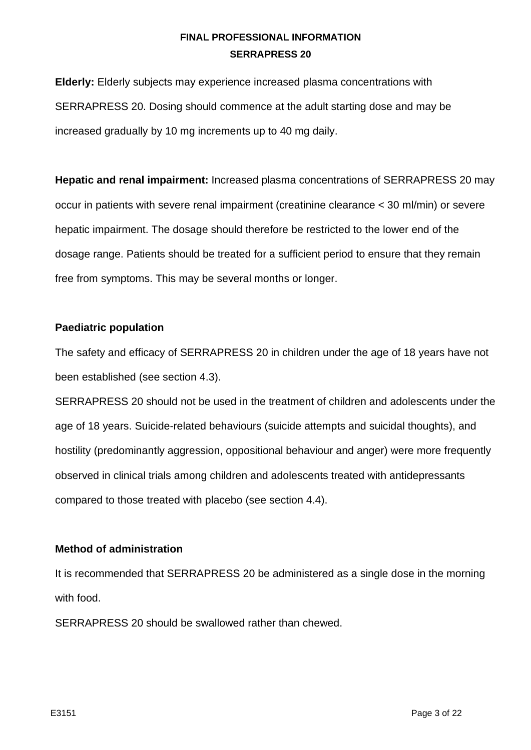**Elderly:** Elderly subjects may experience increased plasma concentrations with SERRAPRESS 20. Dosing should commence at the adult starting dose and may be increased gradually by 10 mg increments up to 40 mg daily.

**Hepatic and renal impairment:** Increased plasma concentrations of SERRAPRESS 20 may occur in patients with severe renal impairment (creatinine clearance < 30 ml/min) or severe hepatic impairment. The dosage should therefore be restricted to the lower end of the dosage range. Patients should be treated for a sufficient period to ensure that they remain free from symptoms. This may be several months or longer.

#### **Paediatric population**

The safety and efficacy of SERRAPRESS 20 in children under the age of 18 years have not been established (see section 4.3).

SERRAPRESS 20 should not be used in the treatment of children and adolescents under the age of 18 years. Suicide-related behaviours (suicide attempts and suicidal thoughts), and hostility (predominantly aggression, oppositional behaviour and anger) were more frequently observed in clinical trials among children and adolescents treated with antidepressants compared to those treated with placebo (see section 4.4).

#### **Method of administration**

It is recommended that SERRAPRESS 20 be administered as a single dose in the morning with food.

SERRAPRESS 20 should be swallowed rather than chewed.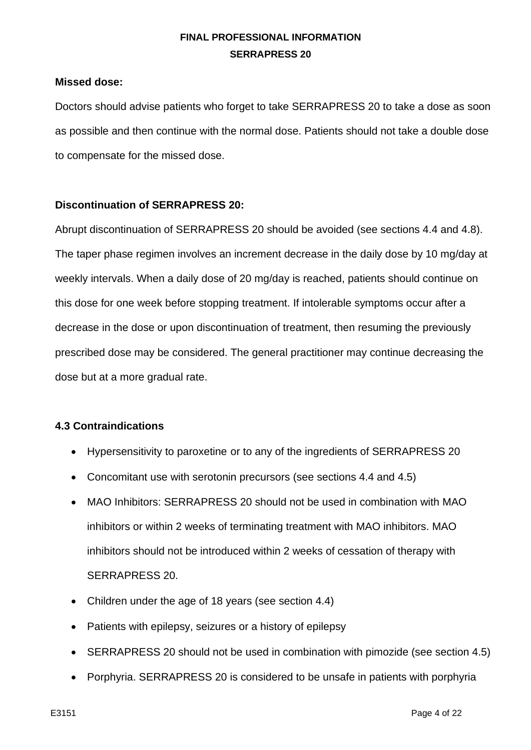#### **Missed dose:**

Doctors should advise patients who forget to take SERRAPRESS 20 to take a dose as soon as possible and then continue with the normal dose. Patients should not take a double dose to compensate for the missed dose.

#### **Discontinuation of SERRAPRESS 20:**

Abrupt discontinuation of SERRAPRESS 20 should be avoided (see sections 4.4 and 4.8). The taper phase regimen involves an increment decrease in the daily dose by 10 mg/day at weekly intervals. When a daily dose of 20 mg/day is reached, patients should continue on this dose for one week before stopping treatment. If intolerable symptoms occur after a decrease in the dose or upon discontinuation of treatment, then resuming the previously prescribed dose may be considered. The general practitioner may continue decreasing the dose but at a more gradual rate.

#### **4.3 Contraindications**

- Hypersensitivity to paroxetine or to any of the ingredients of SERRAPRESS 20
- Concomitant use with serotonin precursors (see sections 4.4 and 4.5)
- MAO Inhibitors: SERRAPRESS 20 should not be used in combination with MAO inhibitors or within 2 weeks of terminating treatment with MAO inhibitors. MAO inhibitors should not be introduced within 2 weeks of cessation of therapy with SERRAPRESS 20.
- Children under the age of 18 years (see section 4.4)
- Patients with epilepsy, seizures or a history of epilepsy
- SERRAPRESS 20 should not be used in combination with pimozide (see section 4.5)
- Porphyria. SERRAPRESS 20 is considered to be unsafe in patients with porphyria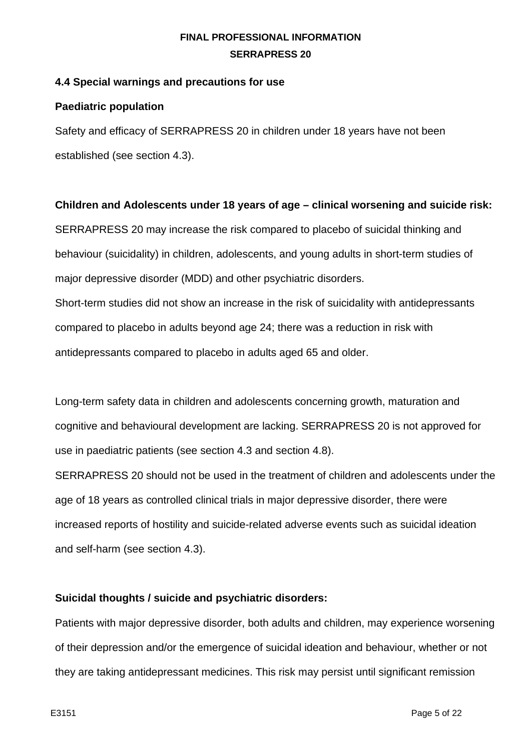## **4.4 Special warnings and precautions for use**

### **Paediatric population**

Safety and efficacy of SERRAPRESS 20 in children under 18 years have not been established (see section 4.3).

## **Children and Adolescents under 18 years of age – clinical worsening and suicide risk:**

SERRAPRESS 20 may increase the risk compared to placebo of suicidal thinking and behaviour (suicidality) in children, adolescents, and young adults in short-term studies of major depressive disorder (MDD) and other psychiatric disorders.

Short-term studies did not show an increase in the risk of suicidality with antidepressants compared to placebo in adults beyond age 24; there was a reduction in risk with antidepressants compared to placebo in adults aged 65 and older.

Long-term safety data in children and adolescents concerning growth, maturation and cognitive and behavioural development are lacking. SERRAPRESS 20 is not approved for use in paediatric patients (see section 4.3 and section 4.8).

SERRAPRESS 20 should not be used in the treatment of children and adolescents under the age of 18 years as controlled clinical trials in major depressive disorder, there were increased reports of hostility and suicide-related adverse events such as suicidal ideation and self-harm (see section 4.3).

# **Suicidal thoughts / suicide and psychiatric disorders:**

Patients with major depressive disorder, both adults and children, may experience worsening of their depression and/or the emergence of suicidal ideation and behaviour, whether or not they are taking antidepressant medicines. This risk may persist until significant remission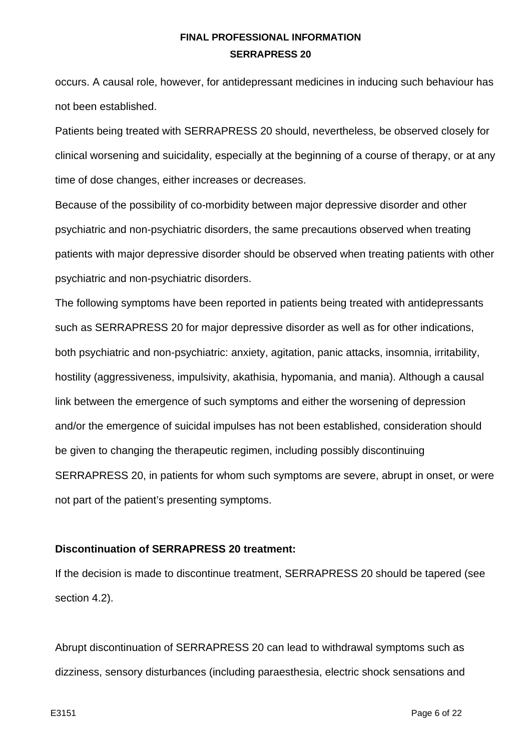occurs. A causal role, however, for antidepressant medicines in inducing such behaviour has not been established.

Patients being treated with SERRAPRESS 20 should, nevertheless, be observed closely for clinical worsening and suicidality, especially at the beginning of a course of therapy, or at any time of dose changes, either increases or decreases.

Because of the possibility of co-morbidity between major depressive disorder and other psychiatric and non-psychiatric disorders, the same precautions observed when treating patients with major depressive disorder should be observed when treating patients with other psychiatric and non-psychiatric disorders.

The following symptoms have been reported in patients being treated with antidepressants such as SERRAPRESS 20 for major depressive disorder as well as for other indications, both psychiatric and non-psychiatric: anxiety, agitation, panic attacks, insomnia, irritability, hostility (aggressiveness, impulsivity, akathisia, hypomania, and mania). Although a causal link between the emergence of such symptoms and either the worsening of depression and/or the emergence of suicidal impulses has not been established, consideration should be given to changing the therapeutic regimen, including possibly discontinuing SERRAPRESS 20, in patients for whom such symptoms are severe, abrupt in onset, or were not part of the patient's presenting symptoms.

#### **Discontinuation of SERRAPRESS 20 treatment:**

If the decision is made to discontinue treatment, SERRAPRESS 20 should be tapered (see section 4.2).

Abrupt discontinuation of SERRAPRESS 20 can lead to withdrawal symptoms such as dizziness, sensory disturbances (including paraesthesia, electric shock sensations and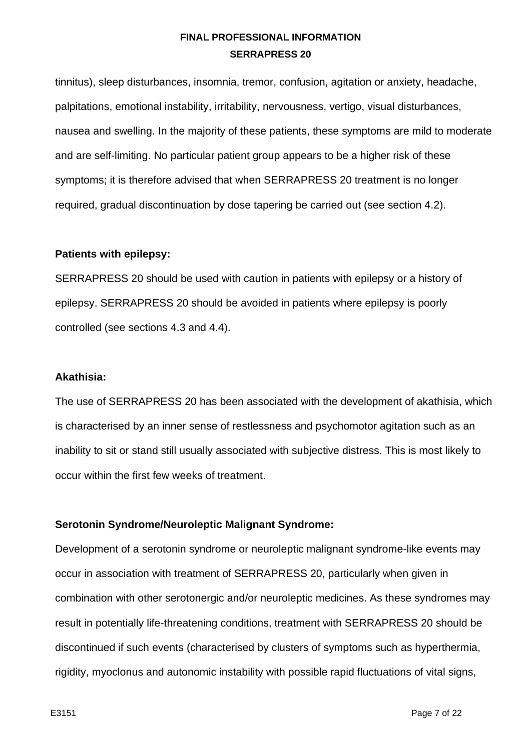tinnitus), sleep disturbances, insomnia, tremor, confusion, agitation or anxiety, headache, palpitations, emotional instability, irritability, nervousness, vertigo, visual disturbances, nausea and swelling. In the majority of these patients, these symptoms are mild to moderate and are self-limiting. No particular patient group appears to be a higher risk of these symptoms; it is therefore advised that when SERRAPRESS 20 treatment is no longer required, gradual discontinuation by dose tapering be carried out (see section 4.2).

#### **Patients with epilepsy:**

SERRAPRESS 20 should be used with caution in patients with epilepsy or a history of epilepsy. SERRAPRESS 20 should be avoided in patients where epilepsy is poorly controlled (see sections 4.3 and 4.4).

#### **Akathisia:**

The use of SERRAPRESS 20 has been associated with the development of akathisia, which is characterised by an inner sense of restlessness and psychomotor agitation such as an inability to sit or stand still usually associated with subjective distress. This is most likely to occur within the first few weeks of treatment.

# **Serotonin Syndrome/Neuroleptic Malignant Syndrome:**

Development of a serotonin syndrome or neuroleptic malignant syndrome-like events may occur in association with treatment of SERRAPRESS 20, particularly when given in combination with other serotonergic and/or neuroleptic medicines. As these syndromes may result in potentially life-threatening conditions, treatment with SERRAPRESS 20 should be discontinued if such events (characterised by clusters of symptoms such as hyperthermia, rigidity, myoclonus and autonomic instability with possible rapid fluctuations of vital signs,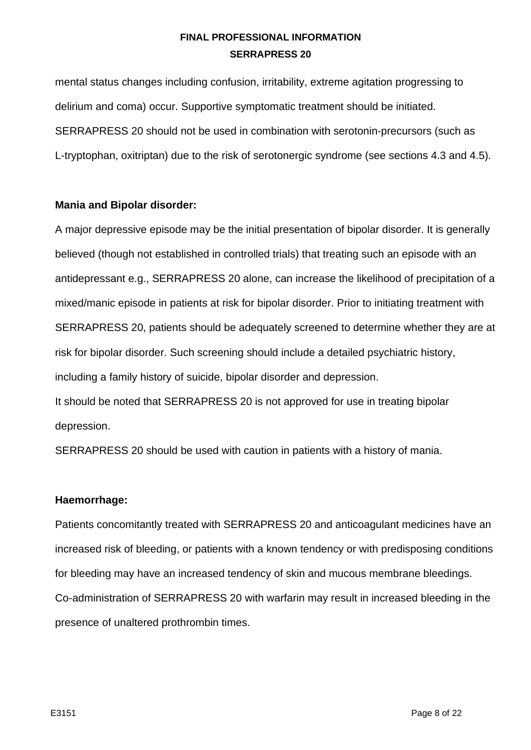mental status changes including confusion, irritability, extreme agitation progressing to delirium and coma) occur. Supportive symptomatic treatment should be initiated. SERRAPRESS 20 should not be used in combination with serotonin-precursors (such as L-tryptophan, oxitriptan) due to the risk of serotonergic syndrome (see sections 4.3 and 4.5).

## **Mania and Bipolar disorder:**

A major depressive episode may be the initial presentation of bipolar disorder. It is generally believed (though not established in controlled trials) that treating such an episode with an antidepressant e.g., SERRAPRESS 20 alone, can increase the likelihood of precipitation of a mixed/manic episode in patients at risk for bipolar disorder. Prior to initiating treatment with SERRAPRESS 20, patients should be adequately screened to determine whether they are at risk for bipolar disorder. Such screening should include a detailed psychiatric history, including a family history of suicide, bipolar disorder and depression.

It should be noted that SERRAPRESS 20 is not approved for use in treating bipolar depression.

SERRAPRESS 20 should be used with caution in patients with a history of mania.

#### **Haemorrhage:**

Patients concomitantly treated with SERRAPRESS 20 and anticoagulant medicines have an increased risk of bleeding, or patients with a known tendency or with predisposing conditions for bleeding may have an increased tendency of skin and mucous membrane bleedings. Co-administration of SERRAPRESS 20 with warfarin may result in increased bleeding in the presence of unaltered prothrombin times.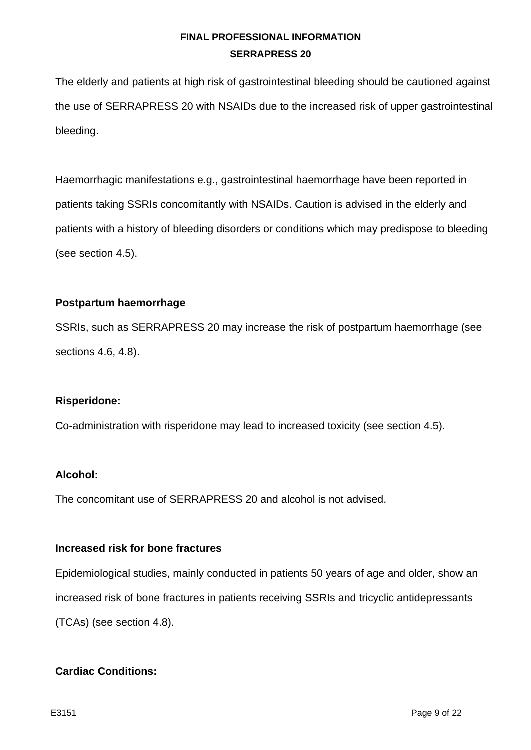The elderly and patients at high risk of gastrointestinal bleeding should be cautioned against the use of SERRAPRESS 20 with NSAIDs due to the increased risk of upper gastrointestinal bleeding.

Haemorrhagic manifestations e.g., gastrointestinal haemorrhage have been reported in patients taking SSRIs concomitantly with NSAIDs. Caution is advised in the elderly and patients with a history of bleeding disorders or conditions which may predispose to bleeding (see section 4.5).

## **Postpartum haemorrhage**

SSRIs, such as SERRAPRESS 20 may increase the risk of postpartum haemorrhage (see sections 4.6, 4.8).

#### **Risperidone:**

Co-administration with risperidone may lead to increased toxicity (see section 4.5).

#### **Alcohol:**

The concomitant use of SERRAPRESS 20 and alcohol is not advised.

#### **Increased risk for bone fractures**

Epidemiological studies, mainly conducted in patients 50 years of age and older, show an increased risk of bone fractures in patients receiving SSRIs and tricyclic antidepressants (TCAs) (see section 4.8).

# **Cardiac Conditions:**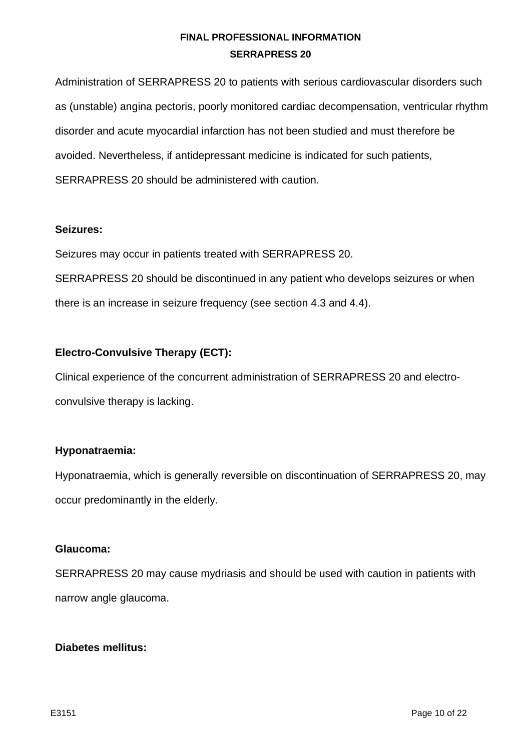Administration of SERRAPRESS 20 to patients with serious cardiovascular disorders such as (unstable) angina pectoris, poorly monitored cardiac decompensation, ventricular rhythm disorder and acute myocardial infarction has not been studied and must therefore be avoided. Nevertheless, if antidepressant medicine is indicated for such patients, SERRAPRESS 20 should be administered with caution.

#### **Seizures:**

Seizures may occur in patients treated with SERRAPRESS 20.

SERRAPRESS 20 should be discontinued in any patient who develops seizures or when there is an increase in seizure frequency (see section 4.3 and 4.4).

## **Electro-Convulsive Therapy (ECT):**

Clinical experience of the concurrent administration of SERRAPRESS 20 and electroconvulsive therapy is lacking.

#### **Hyponatraemia:**

Hyponatraemia, which is generally reversible on discontinuation of SERRAPRESS 20, may occur predominantly in the elderly.

#### **Glaucoma:**

SERRAPRESS 20 may cause mydriasis and should be used with caution in patients with narrow angle glaucoma.

#### **Diabetes mellitus:**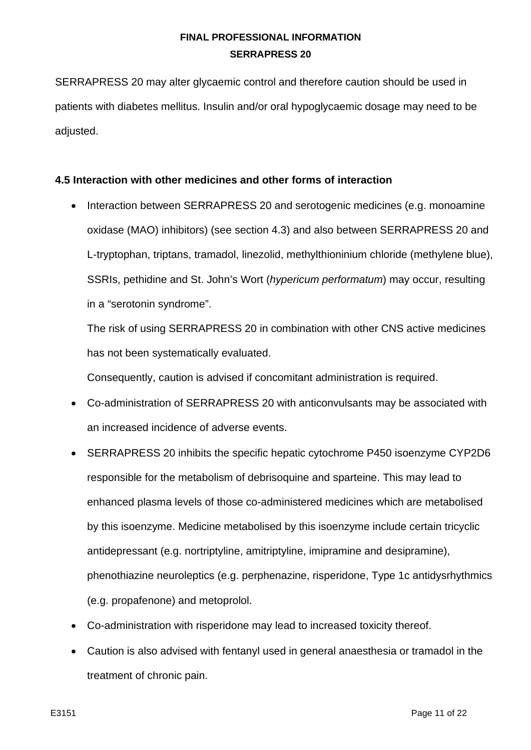SERRAPRESS 20 may alter glycaemic control and therefore caution should be used in patients with diabetes mellitus. Insulin and/or oral hypoglycaemic dosage may need to be adjusted.

# **4.5 Interaction with other medicines and other forms of interaction**

• Interaction between SERRAPRESS 20 and serotogenic medicines (e.g. monoamine oxidase (MAO) inhibitors) (see section 4.3) and also between SERRAPRESS 20 and L-tryptophan, triptans, tramadol, linezolid, methylthioninium chloride (methylene blue), SSRIs, pethidine and St. John's Wort (*hypericum performatum*) may occur, resulting in a "serotonin syndrome".

The risk of using SERRAPRESS 20 in combination with other CNS active medicines has not been systematically evaluated.

Consequently, caution is advised if concomitant administration is required.

- Co-administration of SERRAPRESS 20 with anticonvulsants may be associated with an increased incidence of adverse events.
- SERRAPRESS 20 inhibits the specific hepatic cytochrome P450 isoenzyme CYP2D6 responsible for the metabolism of debrisoquine and sparteine. This may lead to enhanced plasma levels of those co-administered medicines which are metabolised by this isoenzyme. Medicine metabolised by this isoenzyme include certain tricyclic antidepressant (e.g. nortriptyline, amitriptyline, imipramine and desipramine), phenothiazine neuroleptics (e.g. perphenazine, risperidone, Type 1c antidysrhythmics (e.g. propafenone) and metoprolol.
- Co-administration with risperidone may lead to increased toxicity thereof.
- Caution is also advised with fentanyl used in general anaesthesia or tramadol in the treatment of chronic pain.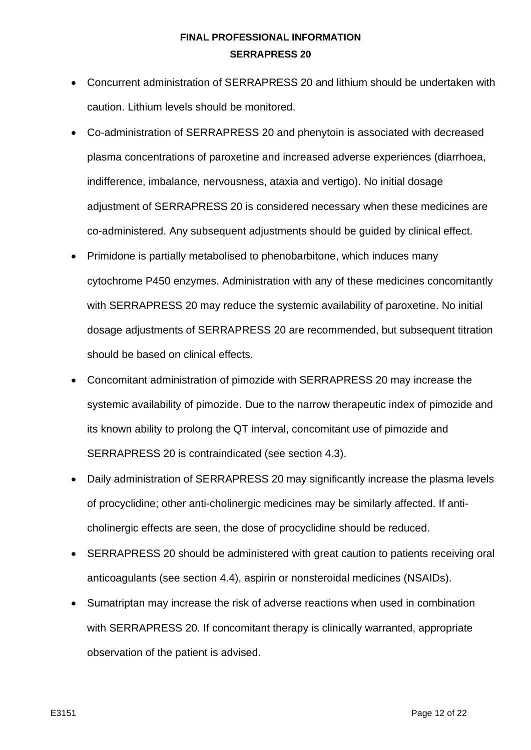- Concurrent administration of SERRAPRESS 20 and lithium should be undertaken with caution. Lithium levels should be monitored.
- Co-administration of SERRAPRESS 20 and phenytoin is associated with decreased plasma concentrations of paroxetine and increased adverse experiences (diarrhoea, indifference, imbalance, nervousness, ataxia and vertigo). No initial dosage adjustment of SERRAPRESS 20 is considered necessary when these medicines are co-administered. Any subsequent adjustments should be guided by clinical effect.
- Primidone is partially metabolised to phenobarbitone, which induces many cytochrome P450 enzymes. Administration with any of these medicines concomitantly with SERRAPRESS 20 may reduce the systemic availability of paroxetine. No initial dosage adjustments of SERRAPRESS 20 are recommended, but subsequent titration should be based on clinical effects.
- Concomitant administration of pimozide with SERRAPRESS 20 may increase the systemic availability of pimozide. Due to the narrow therapeutic index of pimozide and its known ability to prolong the QT interval, concomitant use of pimozide and SERRAPRESS 20 is contraindicated (see section 4.3).
- Daily administration of SERRAPRESS 20 may significantly increase the plasma levels of procyclidine; other anti-cholinergic medicines may be similarly affected. If anticholinergic effects are seen, the dose of procyclidine should be reduced.
- SERRAPRESS 20 should be administered with great caution to patients receiving oral anticoagulants (see section 4.4), aspirin or nonsteroidal medicines (NSAIDs).
- Sumatriptan may increase the risk of adverse reactions when used in combination with SERRAPRESS 20. If concomitant therapy is clinically warranted, appropriate observation of the patient is advised.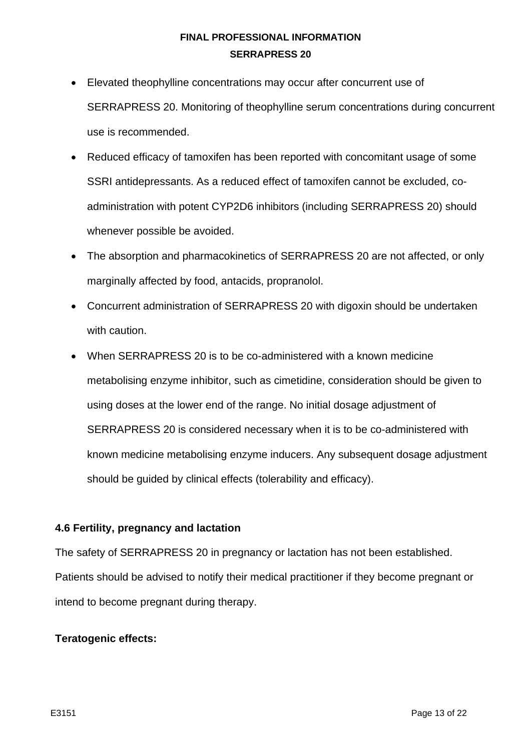- Elevated theophylline concentrations may occur after concurrent use of SERRAPRESS 20. Monitoring of theophylline serum concentrations during concurrent use is recommended.
- Reduced efficacy of tamoxifen has been reported with concomitant usage of some SSRI antidepressants. As a reduced effect of tamoxifen cannot be excluded, coadministration with potent CYP2D6 inhibitors (including SERRAPRESS 20) should whenever possible be avoided.
- The absorption and pharmacokinetics of SERRAPRESS 20 are not affected, or only marginally affected by food, antacids, propranolol.
- Concurrent administration of SERRAPRESS 20 with digoxin should be undertaken with caution.
- When SERRAPRESS 20 is to be co-administered with a known medicine metabolising enzyme inhibitor, such as cimetidine, consideration should be given to using doses at the lower end of the range. No initial dosage adjustment of SERRAPRESS 20 is considered necessary when it is to be co-administered with known medicine metabolising enzyme inducers. Any subsequent dosage adjustment should be guided by clinical effects (tolerability and efficacy).

#### **4.6 Fertility, pregnancy and lactation**

The safety of SERRAPRESS 20 in pregnancy or lactation has not been established. Patients should be advised to notify their medical practitioner if they become pregnant or intend to become pregnant during therapy.

#### **Teratogenic effects:**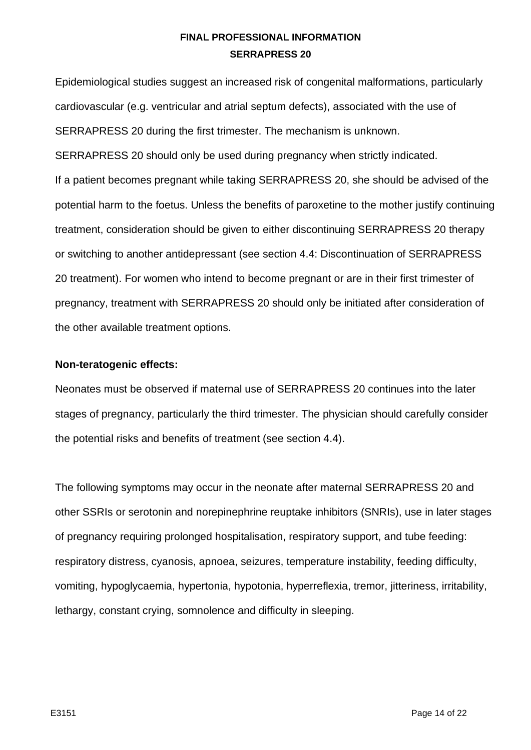Epidemiological studies suggest an increased risk of congenital malformations, particularly cardiovascular (e.g. ventricular and atrial septum defects), associated with the use of SERRAPRESS 20 during the first trimester. The mechanism is unknown. SERRAPRESS 20 should only be used during pregnancy when strictly indicated. If a patient becomes pregnant while taking SERRAPRESS 20, she should be advised of the potential harm to the foetus. Unless the benefits of paroxetine to the mother justify continuing treatment, consideration should be given to either discontinuing SERRAPRESS 20 therapy or switching to another antidepressant (see section 4.4: Discontinuation of SERRAPRESS 20 treatment). For women who intend to become pregnant or are in their first trimester of pregnancy, treatment with SERRAPRESS 20 should only be initiated after consideration of the other available treatment options.

#### **Non-teratogenic effects:**

Neonates must be observed if maternal use of SERRAPRESS 20 continues into the later stages of pregnancy, particularly the third trimester. The physician should carefully consider the potential risks and benefits of treatment (see section 4.4).

The following symptoms may occur in the neonate after maternal SERRAPRESS 20 and other SSRIs or serotonin and norepinephrine reuptake inhibitors (SNRIs), use in later stages of pregnancy requiring prolonged hospitalisation, respiratory support, and tube feeding: respiratory distress, cyanosis, apnoea, seizures, temperature instability, feeding difficulty, vomiting, hypoglycaemia, hypertonia, hypotonia, hyperreflexia, tremor, jitteriness, irritability, lethargy, constant crying, somnolence and difficulty in sleeping.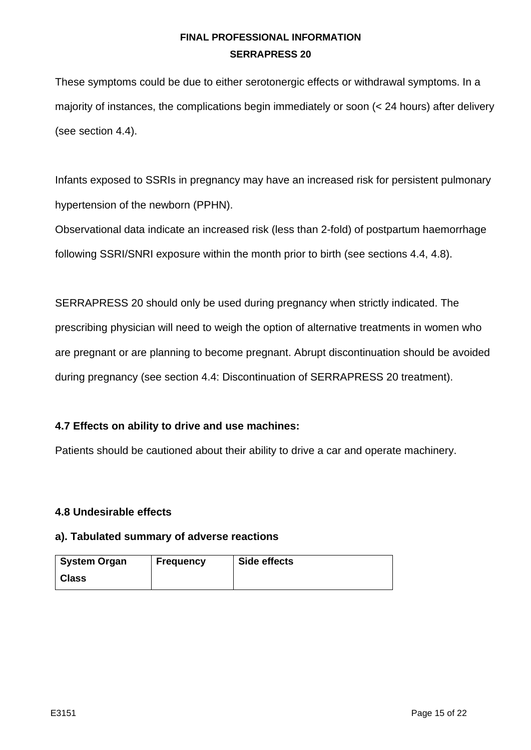These symptoms could be due to either serotonergic effects or withdrawal symptoms. In a majority of instances, the complications begin immediately or soon (< 24 hours) after delivery (see section 4.4).

Infants exposed to SSRIs in pregnancy may have an increased risk for persistent pulmonary hypertension of the newborn (PPHN).

Observational data indicate an increased risk (less than 2-fold) of postpartum haemorrhage following SSRI/SNRI exposure within the month prior to birth (see sections 4.4, 4.8).

SERRAPRESS 20 should only be used during pregnancy when strictly indicated. The prescribing physician will need to weigh the option of alternative treatments in women who are pregnant or are planning to become pregnant. Abrupt discontinuation should be avoided during pregnancy (see section 4.4: Discontinuation of SERRAPRESS 20 treatment).

# **4.7 Effects on ability to drive and use machines:**

Patients should be cautioned about their ability to drive a car and operate machinery.

# **4.8 Undesirable effects**

#### **a). Tabulated summary of adverse reactions**

| System Organ | <b>Frequency</b> | Side effects |
|--------------|------------------|--------------|
| <b>Class</b> |                  |              |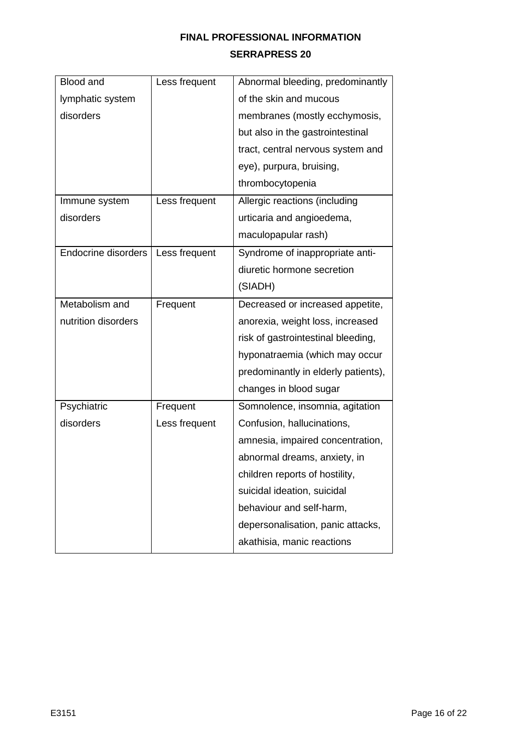| Blood and           | Less frequent | Abnormal bleeding, predominantly    |
|---------------------|---------------|-------------------------------------|
| lymphatic system    |               | of the skin and mucous              |
| disorders           |               | membranes (mostly ecchymosis,       |
|                     |               | but also in the gastrointestinal    |
|                     |               | tract, central nervous system and   |
|                     |               | eye), purpura, bruising,            |
|                     |               | thrombocytopenia                    |
| Immune system       | Less frequent | Allergic reactions (including       |
| disorders           |               | urticaria and angioedema,           |
|                     |               | maculopapular rash)                 |
| Endocrine disorders | Less frequent | Syndrome of inappropriate anti-     |
|                     |               | diuretic hormone secretion          |
|                     |               | (SIADH)                             |
| Metabolism and      | Frequent      | Decreased or increased appetite,    |
| nutrition disorders |               | anorexia, weight loss, increased    |
|                     |               | risk of gastrointestinal bleeding,  |
|                     |               | hyponatraemia (which may occur      |
|                     |               | predominantly in elderly patients), |
|                     |               | changes in blood sugar              |
| Psychiatric         | Frequent      | Somnolence, insomnia, agitation     |
| disorders           | Less frequent | Confusion, hallucinations,          |
|                     |               | amnesia, impaired concentration,    |
|                     |               | abnormal dreams, anxiety, in        |
|                     |               | children reports of hostility,      |
|                     |               | suicidal ideation, suicidal         |
|                     |               | behaviour and self-harm,            |
|                     |               | depersonalisation, panic attacks,   |
|                     |               | akathisia, manic reactions          |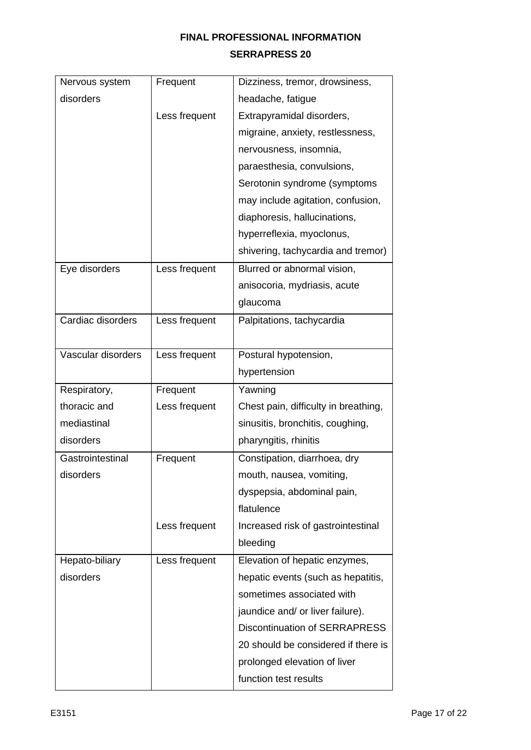| Nervous system     | Frequent      | Dizziness, tremor, drowsiness,       |
|--------------------|---------------|--------------------------------------|
| disorders          |               | headache, fatigue                    |
|                    | Less frequent | Extrapyramidal disorders,            |
|                    |               | migraine, anxiety, restlessness,     |
|                    |               | nervousness, insomnia,               |
|                    |               | paraesthesia, convulsions,           |
|                    |               | Serotonin syndrome (symptoms         |
|                    |               | may include agitation, confusion,    |
|                    |               | diaphoresis, hallucinations,         |
|                    |               | hyperreflexia, myoclonus,            |
|                    |               | shivering, tachycardia and tremor)   |
| Eye disorders      | Less frequent | Blurred or abnormal vision,          |
|                    |               | anisocoria, mydriasis, acute         |
|                    |               | glaucoma                             |
| Cardiac disorders  | Less frequent | Palpitations, tachycardia            |
|                    |               |                                      |
| Vascular disorders | Less frequent | Postural hypotension,                |
|                    |               | hypertension                         |
| Respiratory,       | Frequent      | Yawning                              |
| thoracic and       | Less frequent | Chest pain, difficulty in breathing, |
| mediastinal        |               | sinusitis, bronchitis, coughing,     |
| disorders          |               | pharyngitis, rhinitis                |
| Gastrointestinal   | Frequent      | Constipation, diarrhoea, dry         |
| disorders          |               | mouth, nausea, vomiting,             |
|                    |               | dyspepsia, abdominal pain,           |
|                    |               | flatulence                           |
|                    | Less frequent | Increased risk of gastrointestinal   |
|                    |               | bleeding                             |
| Hepato-biliary     | Less frequent | Elevation of hepatic enzymes,        |
| disorders          |               | hepatic events (such as hepatitis,   |
|                    |               | sometimes associated with            |
|                    |               | jaundice and/ or liver failure).     |
|                    |               | <b>Discontinuation of SERRAPRESS</b> |
|                    |               | 20 should be considered if there is  |
|                    |               | prolonged elevation of liver         |
|                    |               |                                      |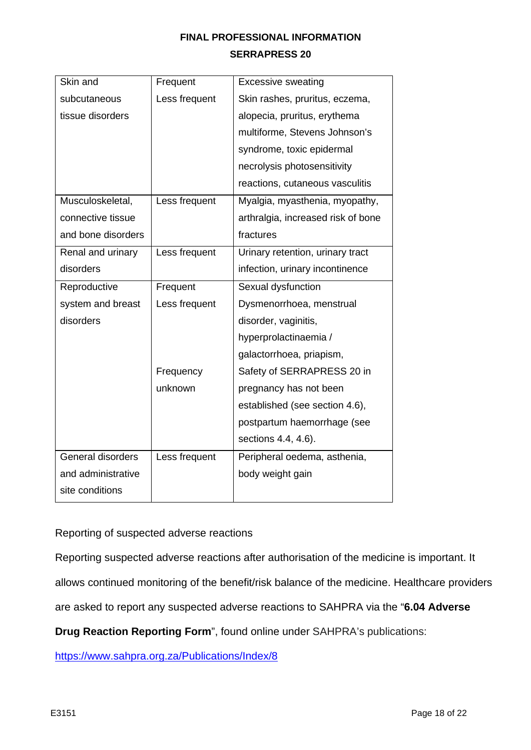| Skin and           | Frequent      | <b>Excessive sweating</b>          |
|--------------------|---------------|------------------------------------|
| subcutaneous       | Less frequent | Skin rashes, pruritus, eczema,     |
| tissue disorders   |               | alopecia, pruritus, erythema       |
|                    |               | multiforme, Stevens Johnson's      |
|                    |               | syndrome, toxic epidermal          |
|                    |               | necrolysis photosensitivity        |
|                    |               | reactions, cutaneous vasculitis    |
| Musculoskeletal,   | Less frequent | Myalgia, myasthenia, myopathy,     |
| connective tissue  |               | arthralgia, increased risk of bone |
| and bone disorders |               | fractures                          |
| Renal and urinary  | Less frequent | Urinary retention, urinary tract   |
| disorders          |               | infection, urinary incontinence    |
| Reproductive       | Frequent      | Sexual dysfunction                 |
| system and breast  | Less frequent | Dysmenorrhoea, menstrual           |
| disorders          |               | disorder, vaginitis,               |
|                    |               | hyperprolactinaemia /              |
|                    |               | galactorrhoea, priapism,           |
|                    | Frequency     | Safety of SERRAPRESS 20 in         |
|                    | unknown       | pregnancy has not been             |
|                    |               | established (see section 4.6),     |
|                    |               | postpartum haemorrhage (see        |
|                    |               | sections 4.4, 4.6).                |
| General disorders  | Less frequent | Peripheral oedema, asthenia,       |
| and administrative |               | body weight gain                   |
| site conditions    |               |                                    |

# Reporting of suspected adverse reactions

Reporting suspected adverse reactions after authorisation of the medicine is important. It

allows continued monitoring of the benefit/risk balance of the medicine. Healthcare providers

are asked to report any suspected adverse reactions to SAHPRA via the "**6.04 Adverse** 

**Drug Reaction Reporting Form**", found online under SAHPRA's publications:

<https://www.sahpra.org.za/Publications/Index/8>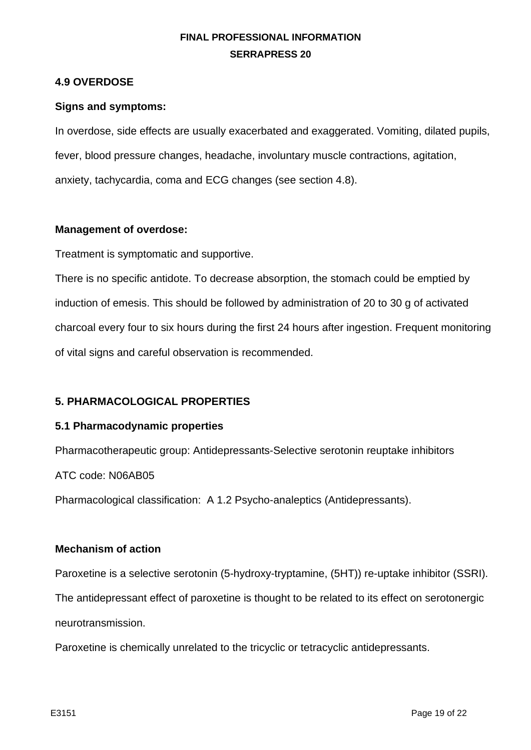## **4.9 OVERDOSE**

#### **Signs and symptoms:**

In overdose, side effects are usually exacerbated and exaggerated. Vomiting, dilated pupils, fever, blood pressure changes, headache, involuntary muscle contractions, agitation, anxiety, tachycardia, coma and ECG changes (see section 4.8).

#### **Management of overdose:**

Treatment is symptomatic and supportive.

There is no specific antidote. To decrease absorption, the stomach could be emptied by induction of emesis. This should be followed by administration of 20 to 30 g of activated charcoal every four to six hours during the first 24 hours after ingestion. Frequent monitoring of vital signs and careful observation is recommended.

#### **5. PHARMACOLOGICAL PROPERTIES**

#### **5.1 Pharmacodynamic properties**

Pharmacotherapeutic group: Antidepressants-Selective serotonin reuptake inhibitors

ATC code: N06AB05

Pharmacological classification: A 1.2 Psycho-analeptics (Antidepressants).

#### **Mechanism of action**

Paroxetine is a selective serotonin (5-hydroxy-tryptamine, (5HT)) re-uptake inhibitor (SSRI).

The antidepressant effect of paroxetine is thought to be related to its effect on serotonergic

neurotransmission.

Paroxetine is chemically unrelated to the tricyclic or tetracyclic antidepressants.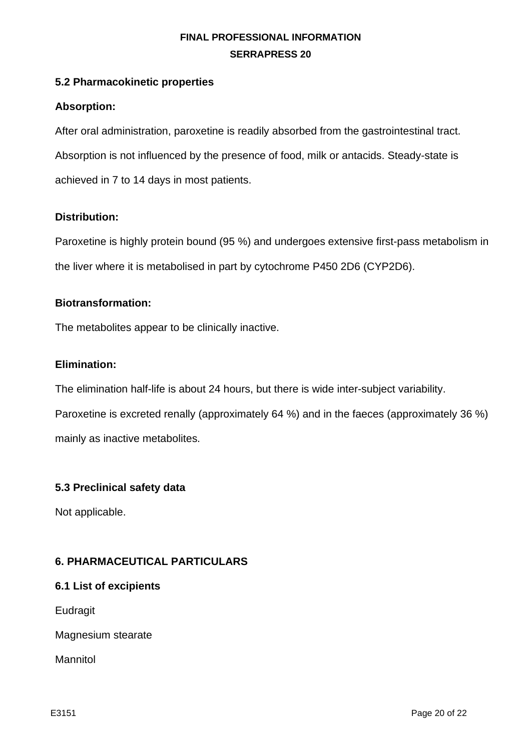## **5.2 Pharmacokinetic properties**

## **Absorption:**

After oral administration, paroxetine is readily absorbed from the gastrointestinal tract. Absorption is not influenced by the presence of food, milk or antacids. Steady-state is achieved in 7 to 14 days in most patients.

## **Distribution:**

Paroxetine is highly protein bound (95 %) and undergoes extensive first-pass metabolism in the liver where it is metabolised in part by cytochrome P450 2D6 (CYP2D6).

#### **Biotransformation:**

The metabolites appear to be clinically inactive.

#### **Elimination:**

The elimination half-life is about 24 hours, but there is wide inter-subject variability.

Paroxetine is excreted renally (approximately 64 %) and in the faeces (approximately 36 %) mainly as inactive metabolites.

# **5.3 Preclinical safety data**

Not applicable.

# **6. PHARMACEUTICAL PARTICULARS**

#### **6.1 List of excipients**

**Eudragit** 

Magnesium stearate

Mannitol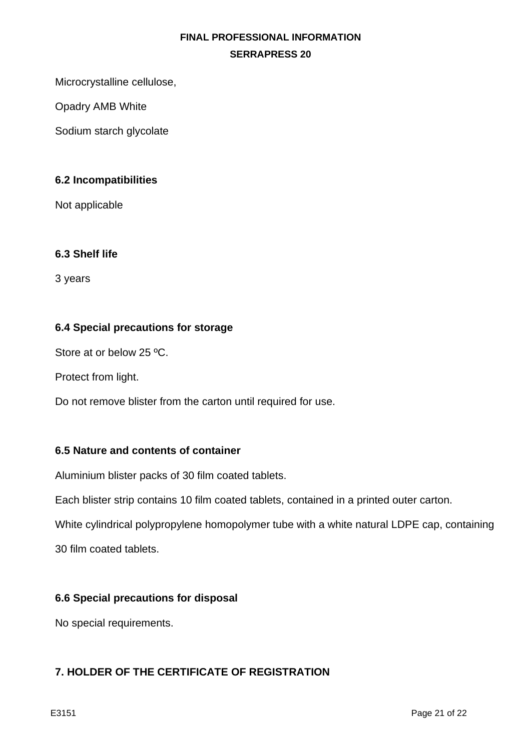Microcrystalline cellulose,

Opadry AMB White

Sodium starch glycolate

# **6.2 Incompatibilities**

Not applicable

## **6.3 Shelf life**

3 years

## **6.4 Special precautions for storage**

Store at or below 25 ºC.

Protect from light.

Do not remove blister from the carton until required for use.

#### **6.5 Nature and contents of container**

Aluminium blister packs of 30 film coated tablets.

Each blister strip contains 10 film coated tablets, contained in a printed outer carton.

White cylindrical polypropylene homopolymer tube with a white natural LDPE cap, containing

30 film coated tablets.

#### **6.6 Special precautions for disposal**

No special requirements.

## **7. HOLDER OF THE CERTIFICATE OF REGISTRATION**